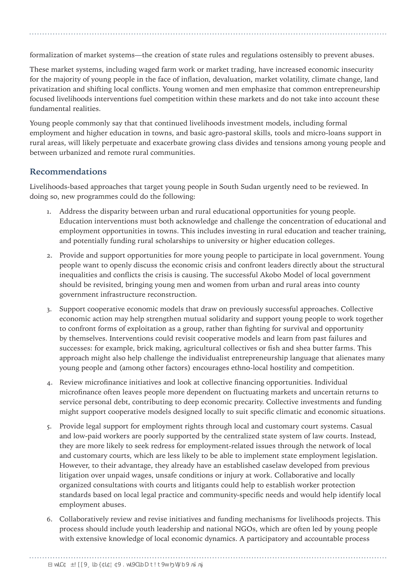formalization of market systems—the creation of state rules and regulations ostensibly to prevent abuses.

These market systems, including waged farm work or market trading, have increased economic insecurity for the majority of young people in the face of inflation, devaluation, market volatility, climate change, land privatization and shifting local conflicts. Young women and men emphasize that common entrepreneurship focused livelihoods interventions fuel competition within these markets and do not take into account these fundamental realities.

Young people commonly say that that continued livelihoods investment models, including formal employment and higher education in towns, and basic agro-pastoral skills, tools and micro-loans support in rural areas, will likely perpetuate and exacerbate growing class divides and tensions among young people and between urbanized and remote rural communities.

## **Recommendations**

Livelihoods-based approaches that target young people in South Sudan urgently need to be reviewed. In doing so, new programmes could do the following:

- 1. Address the disparity between urban and rural educational opportunities for young people. Education interventions must both acknowledge and challenge the concentration of educational and employment opportunities in towns. This includes investing in rural education and teacher training, and potentially funding rural scholarships to university or higher education colleges.
- 2. Provide and support opportunities for more young people to participate in local government. Young people want to openly discuss the economic crisis and confront leaders directly about the structural inequalities and conflicts the crisis is causing. The successful Akobo Model of local government should be revisited, bringing young men and women from urban and rural areas into county government infrastructure reconstruction.
- 3. Support cooperative economic models that draw on previously successful approaches. Collective economic action may help strengthen mutual solidarity and support young people to work together to confront forms of exploitation as a group, rather than fighting for survival and opportunity by themselves. Interventions could revisit cooperative models and learn from past failures and successes: for example, brick making, agricultural collectives or fish and shea butter farms. This approach might also help challenge the individualist entrepreneurship language that alienates many young people and (among other factors) encourages ethno-local hostility and competition.
- 4. Review microfinance initiatives and look at collective financing opportunities. Individual microfinance often leaves people more dependent on fluctuating markets and uncertain returns to service personal debt, contributing to deep economic precarity. Collective investments and funding might support cooperative models designed locally to suit specific climatic and economic situations.
- 5. Provide legal support for employment rights through local and customary court systems. Casual and low-paid workers are poorly supported by the centralized state system of law courts. Instead, they are more likely to seek redress for employment-related issues through the network of local and customary courts, which are less likely to be able to implement state employment legislation. However, to their advantage, they already have an established caselaw developed from previous litigation over unpaid wages, unsafe conditions or injury at work. Collaborative and locally organized consultations with courts and litigants could help to establish worker protection standards based on local legal practice and community-specific needs and would help identify local employment abuses.
- 6. Collaboratively review and revise initiatives and funding mechanisms for livelihoods projects. This process should include youth leadership and national NGOs, which are often led by young people with extensive knowledge of local economic dynamics. A participatory and accountable process